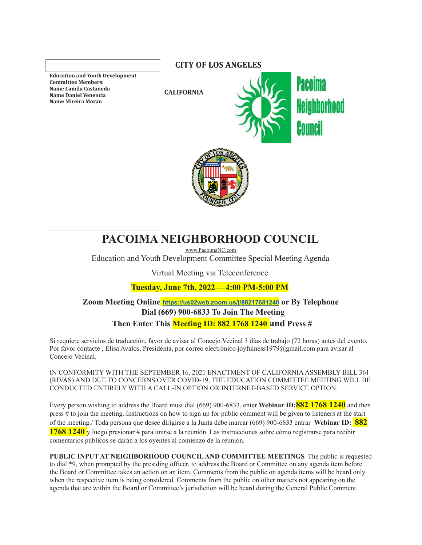**Education and Youth Development Committee Members: Name Camila Castaneda Name Daniel Venencia Name Mireira Moran**

**CITY OF LOS ANGELES**

**CALIFORNIA**





# **PACOIMA NEIGHBORHOOD COUNCIL**

[www.PacoimaNC.com](http://www.pacoimacouncil.org) Education and Youth Development Committee Special Meeting Agenda

Virtual Meeting via Teleconference

**Tuesday, June 7th, 2022— 4:00 PM-5:00 PM**

**Zoom Meeting Online <https://us02web.zoom.us/j/88217681240> or By Telephone Dial (669) 900-6833 To Join The Meeting Then Enter This Meeting ID: 882 1768 1240 and Press #**

Si requiere servicios de traducción, favor de avisar al Concejo Vecinal 3 días de trabajo (72 horas) antes del evento. Por favor contacte , Elisa Avalos, Presidenta, por correo electrónico joyfulness1979@gmail.com para avisar al Concejo Vecinal.

IN CONFORMITY WITH THE SEPTEMBER 16, 2021 ENACTMENT OF CALIFORNIAASSEMBLY BILL 361 (RIVAS) AND DUE TO CONCERNS OVER COVID-19, THE EDUCATION COMMITTEE MEETING WILL BE CONDUCTED ENTIRELY WITH A CALL-IN OPTION OR INTERNET-BASED SERVICE OPTION.

Every person wishing to address the Board must dial (669) 900-6833, enter **Webinar ID:882 1768 1240** and then press # to join the meeting. Instructions on how to sign up for public comment will be given to listeners at the start of the meeting./ Toda persona que desee dirigirse a la Junta debe marcar (669) 900-6833 entrar **Webinar ID: 882 1768 1240** y luego presionar # para unirse a la reunión. Las instrucciones sobre cómo registrarse para recibir comentarios públicos se darán a los oyentes al comienzo de la reunión.

**PUBLIC INPUT AT NEIGHBORHOOD COUNCILAND COMMITTEE MEETINGS** The public is requested to dial \*9, when prompted by the presiding officer, to address the Board or Committee on any agenda item before the Board or Committee takes an action on an item. Comments from the public on agenda items will be heard only when the respective item is being considered. Comments from the public on other matters not appearing on the agenda that are within the Board or Committee's jurisdiction will be heard during the General Public Comment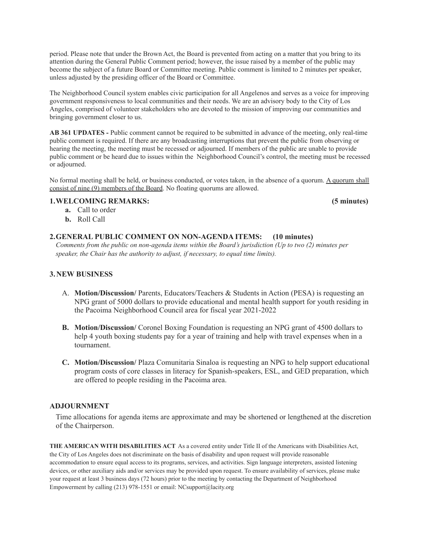period. Please note that under the Brown Act, the Board is prevented from acting on a matter that you bring to its attention during the General Public Comment period; however, the issue raised by a member of the public may become the subject of a future Board or Committee meeting. Public comment is limited to 2 minutes per speaker, unless adjusted by the presiding officer of the Board or Committee.

The Neighborhood Council system enables civic participation for all Angelenos and serves as a voice for improving government responsiveness to local communities and their needs. We are an advisory body to the City of Los Angeles, comprised of volunteer stakeholders who are devoted to the mission of improving our communities and bringing government closer to us.

**AB 361 UPDATES -** Public comment cannot be required to be submitted in advance of the meeting, only real-time public comment is required. If there are any broadcasting interruptions that prevent the public from observing or hearing the meeting, the meeting must be recessed or adjourned. If members of the public are unable to provide public comment or be heard due to issues within the Neighborhood Council's control, the meeting must be recessed or adjourned.

No formal meeting shall be held, or business conducted, or votes taken, in the absence of a quorum. A quorum shall consist of nine (9) members of the Board. No floating quorums are allowed.

### **1.WELCOMING REMARKS: (5 minutes)**

- **a.** Call to order
- **b.** Roll Call

## **2.GENERAL PUBLIC COMMENT ON NON-AGENDA ITEMS: (10 minutes)**

*Comments from the public on non-agenda items within the Board's jurisdiction (Up to two (2) minutes per speaker, the Chair has the authority to adjust, if necessary, to equal time limits).*

#### **3.NEW BUSINESS**

- A. **Motion/Discussion/** Parents, Educators/Teachers & Students in Action (PESA) is requesting an NPG grant of 5000 dollars to provide educational and mental health support for youth residing in the Pacoima Neighborhood Council area for fiscal year 2021-2022
- **B. Motion/Discussion/** Coronel Boxing Foundation is requesting an NPG grant of 4500 dollars to help 4 youth boxing students pay for a year of training and help with travel expenses when in a tournament.
- **C. Motion/Discussion/** Plaza Comunitaria Sinaloa is requesting an NPG to help support educational program costs of core classes in literacy for Spanish-speakers, ESL, and GED preparation, which are offered to people residing in the Pacoima area.

## **ADJOURNMENT**

Time allocations for agenda items are approximate and may be shortened or lengthened at the discretion of the Chairperson.

**THE AMERICAN WITH DISABILITIES ACT** As a covered entity under Title II of the Americans with Disabilities Act, the City of Los Angeles does not discriminate on the basis of disability and upon request will provide reasonable accommodation to ensure equal access to its programs, services, and activities. Sign language interpreters, assisted listening devices, or other auxiliary aids and/or services may be provided upon request. To ensure availability of services, please make your request at least 3 business days (72 hours) prior to the meeting by contacting the Department of Neighborhood Empowerment by calling (213) 978-1551 or email: [NCsupport@lacity.org](mailto:NCsupport@lacity.org)